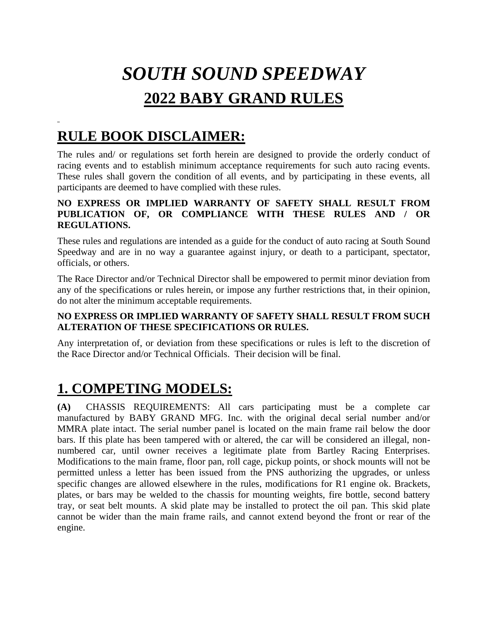# *SOUTH SOUND SPEEDWAY*  **2022 BABY GRAND RULES**

# **RULE BOOK DISCLAIMER:**

The rules and/ or regulations set forth herein are designed to provide the orderly conduct of racing events and to establish minimum acceptance requirements for such auto racing events. These rules shall govern the condition of all events, and by participating in these events, all participants are deemed to have complied with these rules.

#### **NO EXPRESS OR IMPLIED WARRANTY OF SAFETY SHALL RESULT FROM PUBLICATION OF, OR COMPLIANCE WITH THESE RULES AND / OR REGULATIONS.**

These rules and regulations are intended as a guide for the conduct of auto racing at South Sound Speedway and are in no way a guarantee against injury, or death to a participant, spectator, officials, or others.

The Race Director and/or Technical Director shall be empowered to permit minor deviation from any of the specifications or rules herein, or impose any further restrictions that, in their opinion, do not alter the minimum acceptable requirements.

#### **NO EXPRESS OR IMPLIED WARRANTY OF SAFETY SHALL RESULT FROM SUCH ALTERATION OF THESE SPECIFICATIONS OR RULES.**

Any interpretation of, or deviation from these specifications or rules is left to the discretion of the Race Director and/or Technical Officials. Their decision will be final.

# **1. COMPETING MODELS:**

**(A)** CHASSIS REQUIREMENTS: All cars participating must be a complete car manufactured by BABY GRAND MFG. Inc. with the original decal serial number and/or MMRA plate intact. The serial number panel is located on the main frame rail below the door bars. If this plate has been tampered with or altered, the car will be considered an illegal, nonnumbered car, until owner receives a legitimate plate from Bartley Racing Enterprises. Modifications to the main frame, floor pan, roll cage, pickup points, or shock mounts will not be permitted unless a letter has been issued from the PNS authorizing the upgrades, or unless specific changes are allowed elsewhere in the rules, modifications for R1 engine ok. Brackets, plates, or bars may be welded to the chassis for mounting weights, fire bottle, second battery tray, or seat belt mounts. A skid plate may be installed to protect the oil pan. This skid plate cannot be wider than the main frame rails, and cannot extend beyond the front or rear of the engine.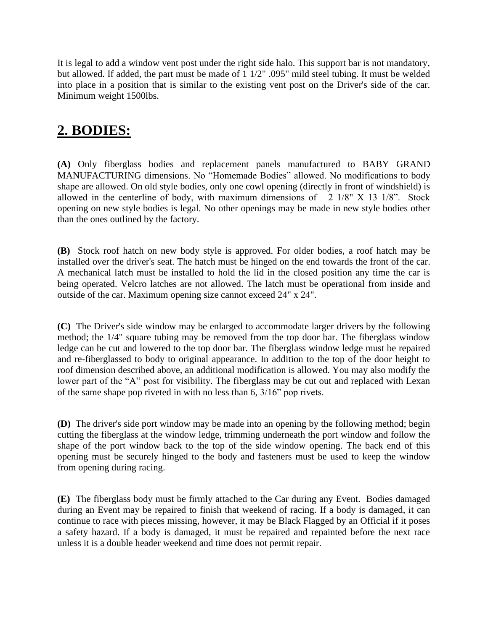It is legal to add a window vent post under the right side halo. This support bar is not mandatory, but allowed. If added, the part must be made of 1 1/2" .095" mild steel tubing. It must be welded into place in a position that is similar to the existing vent post on the Driver's side of the car. Minimum weight 1500lbs.

## **2. BODIES:**

**(A)** Only fiberglass bodies and replacement panels manufactured to BABY GRAND MANUFACTURING dimensions. No "Homemade Bodies" allowed. No modifications to body shape are allowed. On old style bodies, only one cowl opening (directly in front of windshield) is allowed in the centerline of body, with maximum dimensions of  $2 \frac{1}{8}$  X 13  $\frac{1}{8}$ . Stock opening on new style bodies is legal. No other openings may be made in new style bodies other than the ones outlined by the factory.

**(B)** Stock roof hatch on new body style is approved. For older bodies, a roof hatch may be installed over the driver's seat. The hatch must be hinged on the end towards the front of the car. A mechanical latch must be installed to hold the lid in the closed position any time the car is being operated. Velcro latches are not allowed. The latch must be operational from inside and outside of the car. Maximum opening size cannot exceed 24" x 24".

**(C)** The Driver's side window may be enlarged to accommodate larger drivers by the following method; the 1/4" square tubing may be removed from the top door bar. The fiberglass window ledge can be cut and lowered to the top door bar. The fiberglass window ledge must be repaired and re-fiberglassed to body to original appearance. In addition to the top of the door height to roof dimension described above, an additional modification is allowed. You may also modify the lower part of the "A" post for visibility. The fiberglass may be cut out and replaced with Lexan of the same shape pop riveted in with no less than 6, 3/16" pop rivets.

**(D)** The driver's side port window may be made into an opening by the following method; begin cutting the fiberglass at the window ledge, trimming underneath the port window and follow the shape of the port window back to the top of the side window opening. The back end of this opening must be securely hinged to the body and fasteners must be used to keep the window from opening during racing.

**(E)** The fiberglass body must be firmly attached to the Car during any Event. Bodies damaged during an Event may be repaired to finish that weekend of racing. If a body is damaged, it can continue to race with pieces missing, however, it may be Black Flagged by an Official if it poses a safety hazard. If a body is damaged, it must be repaired and repainted before the next race unless it is a double header weekend and time does not permit repair.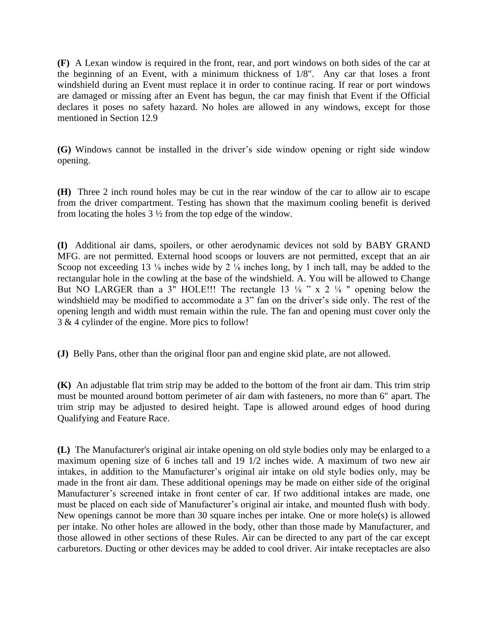**(F)** A Lexan window is required in the front, rear, and port windows on both sides of the car at the beginning of an Event, with a minimum thickness of 1/8". Any car that loses a front windshield during an Event must replace it in order to continue racing. If rear or port windows are damaged or missing after an Event has begun, the car may finish that Event if the Official declares it poses no safety hazard. No holes are allowed in any windows, except for those mentioned in Section 12.9

**(G)** Windows cannot be installed in the driver's side window opening or right side window opening.

**(H)** Three 2 inch round holes may be cut in the rear window of the car to allow air to escape from the driver compartment. Testing has shown that the maximum cooling benefit is derived from locating the holes 3 ½ from the top edge of the window.

**(I)** Additional air dams, spoilers, or other aerodynamic devices not sold by BABY GRAND MFG. are not permitted. External hood scoops or louvers are not permitted, except that an air Scoop not exceeding 13 <sup>1/8</sup> inches wide by 2 <sup>1/8</sup> inches long, by 1 inch tall, may be added to the rectangular hole in the cowling at the base of the windshield. A. You will be allowed to Change But NO LARGER than a 3" HOLE!!! The rectangle 13  $\frac{1}{8}$  " x 2  $\frac{1}{8}$ " opening below the windshield may be modified to accommodate a 3" fan on the driver's side only. The rest of the opening length and width must remain within the rule. The fan and opening must cover only the 3 & 4 cylinder of the engine. More pics to follow!

**(J)** Belly Pans, other than the original floor pan and engine skid plate, are not allowed.

**(K)** An adjustable flat trim strip may be added to the bottom of the front air dam. This trim strip must be mounted around bottom perimeter of air dam with fasteners, no more than 6" apart. The trim strip may be adjusted to desired height. Tape is allowed around edges of hood during Qualifying and Feature Race.

**(L)** The Manufacturer's original air intake opening on old style bodies only may be enlarged to a maximum opening size of 6 inches tall and 19 1/2 inches wide. A maximum of two new air intakes, in addition to the Manufacturer's original air intake on old style bodies only, may be made in the front air dam. These additional openings may be made on either side of the original Manufacturer's screened intake in front center of car. If two additional intakes are made, one must be placed on each side of Manufacturer's original air intake, and mounted flush with body. New openings cannot be more than 30 square inches per intake. One or more hole(s) is allowed per intake. No other holes are allowed in the body, other than those made by Manufacturer, and those allowed in other sections of these Rules. Air can be directed to any part of the car except carburetors. Ducting or other devices may be added to cool driver. Air intake receptacles are also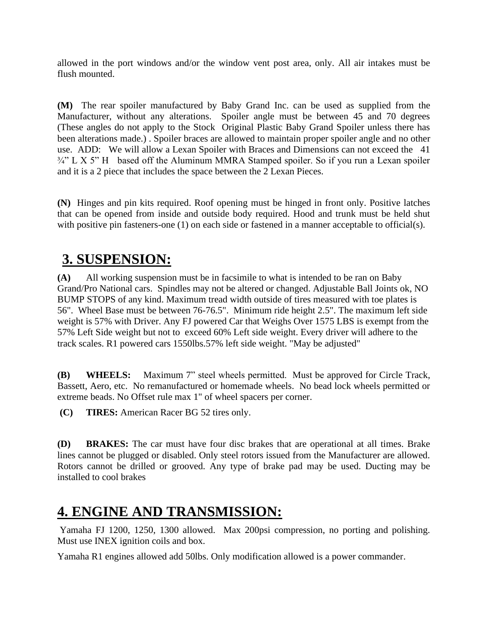allowed in the port windows and/or the window vent post area, only. All air intakes must be flush mounted.

**(M)** The rear spoiler manufactured by Baby Grand Inc. can be used as supplied from the Manufacturer, without any alterations. Spoiler angle must be between 45 and 70 degrees (These angles do not apply to the Stock Original Plastic Baby Grand Spoiler unless there has been alterations made.) . Spoiler braces are allowed to maintain proper spoiler angle and no other use. ADD: We will allow a Lexan Spoiler with Braces and Dimensions can not exceed the 41 <sup>3/4</sup>" L X 5" H based off the Aluminum MMRA Stamped spoiler. So if you run a Lexan spoiler and it is a 2 piece that includes the space between the 2 Lexan Pieces.

**(N)** Hinges and pin kits required. Roof opening must be hinged in front only. Positive latches that can be opened from inside and outside body required. Hood and trunk must be held shut with positive pin fasteners-one (1) on each side or fastened in a manner acceptable to official(s).

## **3. SUSPENSION:**

**(A)** All working suspension must be in facsimile to what is intended to be ran on Baby Grand/Pro National cars. Spindles may not be altered or changed. Adjustable Ball Joints ok, NO BUMP STOPS of any kind. Maximum tread width outside of tires measured with toe plates is 56". Wheel Base must be between 76-76.5". Minimum ride height 2.5". The maximum left side weight is 57% with Driver. Any FJ powered Car that Weighs Over 1575 LBS is exempt from the 57% Left Side weight but not to exceed 60% Left side weight. Every driver will adhere to the track scales. R1 powered cars 1550lbs.57% left side weight. "May be adjusted"

**(B) WHEELS:** Maximum 7" steel wheels permitted. Must be approved for Circle Track, Bassett, Aero, etc. No remanufactured or homemade wheels. No bead lock wheels permitted or extreme beads. No Offset rule max 1" of wheel spacers per corner.

**(C) TIRES:** American Racer BG 52 tires only.

**(D) BRAKES:** The car must have four disc brakes that are operational at all times. Brake lines cannot be plugged or disabled. Only steel rotors issued from the Manufacturer are allowed. Rotors cannot be drilled or grooved. Any type of brake pad may be used. Ducting may be installed to cool brakes

# **4. ENGINE AND TRANSMISSION:**

Yamaha FJ 1200, 1250, 1300 allowed. Max 200psi compression, no porting and polishing. Must use INEX ignition coils and box.

Yamaha R1 engines allowed add 50lbs. Only modification allowed is a power commander.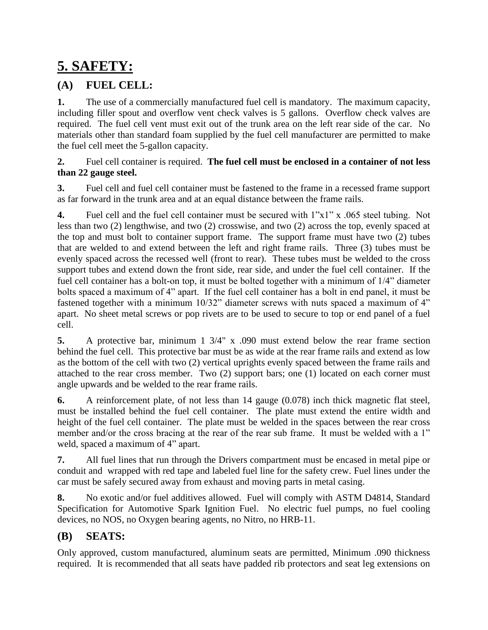# **5. SAFETY:**

### **(A) FUEL CELL:**

**1.** The use of a commercially manufactured fuel cell is mandatory. The maximum capacity, including filler spout and overflow vent check valves is 5 gallons. Overflow check valves are required. The fuel cell vent must exit out of the trunk area on the left rear side of the car. No materials other than standard foam supplied by the fuel cell manufacturer are permitted to make the fuel cell meet the 5-gallon capacity.

#### **2.** Fuel cell container is required. **The fuel cell must be enclosed in a container of not less than 22 gauge steel.**

**3.** Fuel cell and fuel cell container must be fastened to the frame in a recessed frame support as far forward in the trunk area and at an equal distance between the frame rails.

**4.** Fuel cell and the fuel cell container must be secured with 1"x1" x .065 steel tubing. Not less than two (2) lengthwise, and two (2) crosswise, and two (2) across the top, evenly spaced at the top and must bolt to container support frame. The support frame must have two (2) tubes that are welded to and extend between the left and right frame rails. Three (3) tubes must be evenly spaced across the recessed well (front to rear). These tubes must be welded to the cross support tubes and extend down the front side, rear side, and under the fuel cell container. If the fuel cell container has a bolt-on top, it must be bolted together with a minimum of 1/4" diameter bolts spaced a maximum of 4" apart. If the fuel cell container has a bolt in end panel, it must be fastened together with a minimum 10/32" diameter screws with nuts spaced a maximum of 4" apart. No sheet metal screws or pop rivets are to be used to secure to top or end panel of a fuel cell.

**5.** A protective bar, minimum 1 3/4" x .090 must extend below the rear frame section behind the fuel cell. This protective bar must be as wide at the rear frame rails and extend as low as the bottom of the cell with two (2) vertical uprights evenly spaced between the frame rails and attached to the rear cross member. Two (2) support bars; one (1) located on each corner must angle upwards and be welded to the rear frame rails.

**6.** A reinforcement plate, of not less than 14 gauge (0.078) inch thick magnetic flat steel, must be installed behind the fuel cell container. The plate must extend the entire width and height of the fuel cell container. The plate must be welded in the spaces between the rear cross member and/or the cross bracing at the rear of the rear sub frame. It must be welded with a 1" weld, spaced a maximum of 4" apart.

**7.** All fuel lines that run through the Drivers compartment must be encased in metal pipe or conduit and wrapped with red tape and labeled fuel line for the safety crew. Fuel lines under the car must be safely secured away from exhaust and moving parts in metal casing.

**8.** No exotic and/or fuel additives allowed. Fuel will comply with ASTM D4814, Standard Specification for Automotive Spark Ignition Fuel. No electric fuel pumps, no fuel cooling devices, no NOS, no Oxygen bearing agents, no Nitro, no HRB-11.

### **(B) SEATS:**

Only approved, custom manufactured, aluminum seats are permitted, Minimum .090 thickness required. It is recommended that all seats have padded rib protectors and seat leg extensions on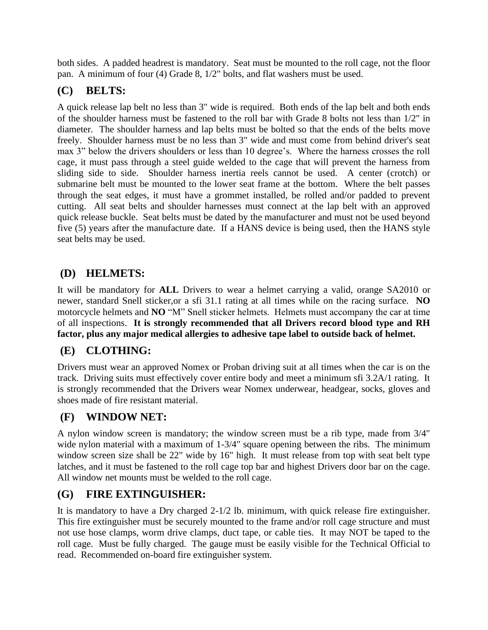both sides. A padded headrest is mandatory. Seat must be mounted to the roll cage, not the floor pan. A minimum of four (4) Grade 8, 1/2" bolts, and flat washers must be used.

### **(C) BELTS:**

A quick release lap belt no less than 3" wide is required. Both ends of the lap belt and both ends of the shoulder harness must be fastened to the roll bar with Grade 8 bolts not less than 1/2" in diameter. The shoulder harness and lap belts must be bolted so that the ends of the belts move freely. Shoulder harness must be no less than 3" wide and must come from behind driver's seat max 3" below the drivers shoulders or less than 10 degree's. Where the harness crosses the roll cage, it must pass through a steel guide welded to the cage that will prevent the harness from sliding side to side. Shoulder harness inertia reels cannot be used. A center (crotch) or submarine belt must be mounted to the lower seat frame at the bottom. Where the belt passes through the seat edges, it must have a grommet installed, be rolled and/or padded to prevent cutting. All seat belts and shoulder harnesses must connect at the lap belt with an approved quick release buckle. Seat belts must be dated by the manufacturer and must not be used beyond five (5) years after the manufacture date. If a HANS device is being used, then the HANS style seat belts may be used.

### **(D) HELMETS:**

It will be mandatory for **ALL** Drivers to wear a helmet carrying a valid, orange SA2010 or newer, standard Snell sticker,or a sfi 31.1 rating at all times while on the racing surface. **NO** motorcycle helmets and **NO** "M" Snell sticker helmets. Helmets must accompany the car at time of all inspections. **It is strongly recommended that all Drivers record blood type and RH factor, plus any major medical allergies to adhesive tape label to outside back of helmet.** 

### **(E) CLOTHING:**

Drivers must wear an approved Nomex or Proban driving suit at all times when the car is on the track. Driving suits must effectively cover entire body and meet a minimum sfi 3.2A/1 rating. It is strongly recommended that the Drivers wear Nomex underwear, headgear, socks, gloves and shoes made of fire resistant material.

### **(F) WINDOW NET:**

A nylon window screen is mandatory; the window screen must be a rib type, made from 3/4" wide nylon material with a maximum of 1-3/4" square opening between the ribs. The minimum window screen size shall be 22" wide by 16" high. It must release from top with seat belt type latches, and it must be fastened to the roll cage top bar and highest Drivers door bar on the cage. All window net mounts must be welded to the roll cage.

### **(G) FIRE EXTINGUISHER:**

It is mandatory to have a Dry charged 2-1/2 lb. minimum, with quick release fire extinguisher. This fire extinguisher must be securely mounted to the frame and/or roll cage structure and must not use hose clamps, worm drive clamps, duct tape, or cable ties. It may NOT be taped to the roll cage. Must be fully charged. The gauge must be easily visible for the Technical Official to read. Recommended on-board fire extinguisher system.